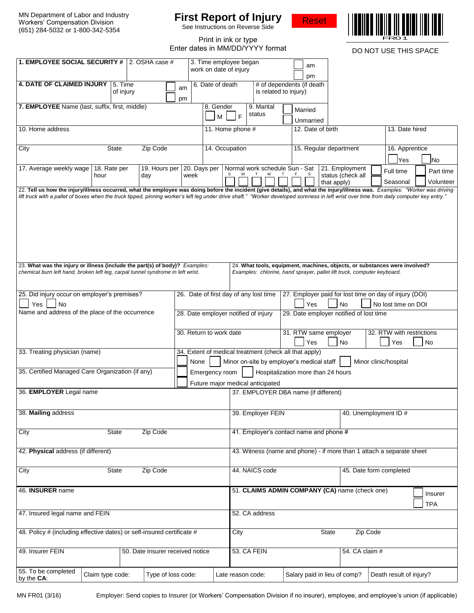# **First Report of Injury**



| Workers' Compensation Division<br>(651) 284-5032 or 1-800-342-5354                                                                                                                                                                                                                                                                                                       |                      |                      |                    | FITST Report of Injury<br>See Instructions on Reverse Side                                                                           |                |                                                                       |  | <b>Reset</b>                                                                                                                                          |                                     |                       |                                    |                        |  |
|--------------------------------------------------------------------------------------------------------------------------------------------------------------------------------------------------------------------------------------------------------------------------------------------------------------------------------------------------------------------------|----------------------|----------------------|--------------------|--------------------------------------------------------------------------------------------------------------------------------------|----------------|-----------------------------------------------------------------------|--|-------------------------------------------------------------------------------------------------------------------------------------------------------|-------------------------------------|-----------------------|------------------------------------|------------------------|--|
|                                                                                                                                                                                                                                                                                                                                                                          |                      |                      |                    |                                                                                                                                      |                | Print in ink or type<br>Enter dates in MM/DD/YYYY format              |  |                                                                                                                                                       |                                     | DO NOT USE THIS SPACE |                                    |                        |  |
| 1. EMPLOYEE SOCIAL SECURITY # 2. OSHA case #                                                                                                                                                                                                                                                                                                                             |                      |                      |                    | work on date of injury                                                                                                               |                | 3. Time employee began                                                |  | am<br>pm                                                                                                                                              |                                     |                       |                                    |                        |  |
| <b>4. DATE OF CLAIMED INJURY</b>                                                                                                                                                                                                                                                                                                                                         |                      | 5. Time<br>of injury | am<br>pm           | 6. Date of death                                                                                                                     |                | is related to injury)                                                 |  | # of dependents (if death                                                                                                                             |                                     |                       |                                    |                        |  |
| 7. EMPLOYEE Name (last, suffix, first, middle)                                                                                                                                                                                                                                                                                                                           |                      |                      |                    |                                                                                                                                      | 8. Gender<br>м | 9. Marital<br>status<br>E                                             |  | Married<br>Unmarried                                                                                                                                  |                                     |                       |                                    |                        |  |
| 10. Home address                                                                                                                                                                                                                                                                                                                                                         |                      |                      |                    |                                                                                                                                      |                | 11. Home phone #                                                      |  | 12. Date of birth                                                                                                                                     |                                     |                       | 13. Date hired                     |                        |  |
| <b>State</b><br>Zip Code<br>City                                                                                                                                                                                                                                                                                                                                         |                      |                      |                    |                                                                                                                                      | 14. Occupation |                                                                       |  | 15. Regular department                                                                                                                                |                                     |                       | 16. Apprentice<br><b>No</b><br>Yes |                        |  |
| 17. Average weekly wage                                                                                                                                                                                                                                                                                                                                                  | 18. Rate per<br>hour | day                  | 19. Hours per      | week                                                                                                                                 |                | 20. Days per   Normal work schedule Sun - Sat                         |  | that apply)                                                                                                                                           | 21. Employment<br>status (check all | Full time<br>Seasonal |                                    | Part time<br>Volunteer |  |
| 22. Tell us how the injury/illness occurred, what the employee was doing before the incident (give details), and what the injury/illness was. Examples: "Worker was driving<br>lift truck with a pallet of boxes when the truck tipped, pinning worker's left leg under drive shaft." "Worker developed soreness in left wrist over time from daily computer key entry." |                      |                      |                    |                                                                                                                                      |                |                                                                       |  |                                                                                                                                                       |                                     |                       |                                    |                        |  |
|                                                                                                                                                                                                                                                                                                                                                                          |                      |                      |                    |                                                                                                                                      |                |                                                                       |  |                                                                                                                                                       |                                     |                       |                                    |                        |  |
| 23. What was the injury or illness (include the part(s) of body)? Examples:<br>chemical burn left hand, broken left leg, carpal tunnel syndrome in left wrist.                                                                                                                                                                                                           |                      |                      |                    |                                                                                                                                      |                |                                                                       |  | 24. What tools, equipment, machines, objects, or substances were involved?<br>Examples: chlorine, hand sprayer, pallet lift truck, computer keyboard. |                                     |                       |                                    |                        |  |
| 25. Did injury occur on employer's premises?<br>Yes<br>No                                                                                                                                                                                                                                                                                                                |                      |                      |                    |                                                                                                                                      |                | 26. Date of first day of any lost time                                |  | 27. Employer paid for lost time on day of injury (DOI)<br>Yes                                                                                         | <b>No</b>                           | No lost time on DOI   |                                    |                        |  |
| Name and address of the place of the occurrence                                                                                                                                                                                                                                                                                                                          |                      |                      |                    |                                                                                                                                      |                | 28. Date employer notified of injury                                  |  | 29. Date employer notified of lost time                                                                                                               |                                     |                       |                                    |                        |  |
|                                                                                                                                                                                                                                                                                                                                                                          |                      |                      |                    | 30. Return to work date                                                                                                              |                |                                                                       |  | 31. RTW same employer<br>32. RTW with restrictions<br>No<br>Yes<br>No<br>Yes                                                                          |                                     |                       |                                    |                        |  |
| 33. Treating physician (name)                                                                                                                                                                                                                                                                                                                                            |                      |                      |                    | 34. Extent of medical treatment (check all that apply)<br>None<br>Minor on-site by employer's medical staff<br>Minor clinic/hospital |                |                                                                       |  |                                                                                                                                                       |                                     |                       |                                    |                        |  |
| 35. Certified Managed Care Organization (if any)                                                                                                                                                                                                                                                                                                                         |                      |                      |                    | Hospitalization more than 24 hours<br>Emergency room                                                                                 |                |                                                                       |  |                                                                                                                                                       |                                     |                       |                                    |                        |  |
| 36. EMPLOYER Legal name                                                                                                                                                                                                                                                                                                                                                  |                      |                      |                    |                                                                                                                                      |                | Future major medical anticipated                                      |  | 37. EMPLOYER DBA name (if different)                                                                                                                  |                                     |                       |                                    |                        |  |
| 38. Mailing address                                                                                                                                                                                                                                                                                                                                                      |                      |                      |                    |                                                                                                                                      |                | 39. Employer FEIN                                                     |  |                                                                                                                                                       |                                     | 40. Unemployment ID # |                                    |                        |  |
| City<br>State<br>Zip Code                                                                                                                                                                                                                                                                                                                                                |                      |                      |                    |                                                                                                                                      |                | 41. Employer's contact name and phone #                               |  |                                                                                                                                                       |                                     |                       |                                    |                        |  |
| 42. Physical address (if different)                                                                                                                                                                                                                                                                                                                                      |                      |                      |                    |                                                                                                                                      |                | 43. Witness (name and phone) - if more than 1 attach a separate sheet |  |                                                                                                                                                       |                                     |                       |                                    |                        |  |
| Zip Code<br>City<br><b>State</b>                                                                                                                                                                                                                                                                                                                                         |                      |                      |                    |                                                                                                                                      |                | 44. NAICS code<br>45. Date form completed                             |  |                                                                                                                                                       |                                     |                       |                                    |                        |  |
| 46. INSURER name                                                                                                                                                                                                                                                                                                                                                         |                      |                      |                    |                                                                                                                                      |                |                                                                       |  | 51. CLAIMS ADMIN COMPANY (CA) name (check one)                                                                                                        |                                     |                       |                                    | Insurer                |  |
| 47. Insured legal name and FEIN                                                                                                                                                                                                                                                                                                                                          |                      |                      |                    |                                                                                                                                      |                | 52. CA address                                                        |  |                                                                                                                                                       |                                     |                       |                                    | <b>TPA</b>             |  |
| 48. Policy # (including effective dates) or self-insured certificate #                                                                                                                                                                                                                                                                                                   |                      |                      |                    |                                                                                                                                      |                | City                                                                  |  | State                                                                                                                                                 |                                     | Zip Code              |                                    |                        |  |
| 49. Insurer FEIN<br>50. Date insurer received notice                                                                                                                                                                                                                                                                                                                     |                      |                      |                    |                                                                                                                                      |                | 53. CA FEIN<br>54. CA claim #                                         |  |                                                                                                                                                       |                                     |                       |                                    |                        |  |
| 55. To be completed<br>by the CA:                                                                                                                                                                                                                                                                                                                                        | Claim type code:     |                      | Type of loss code: |                                                                                                                                      |                | Late reason code:                                                     |  | Salary paid in lieu of comp?                                                                                                                          |                                     |                       | Death result of injury?            |                        |  |